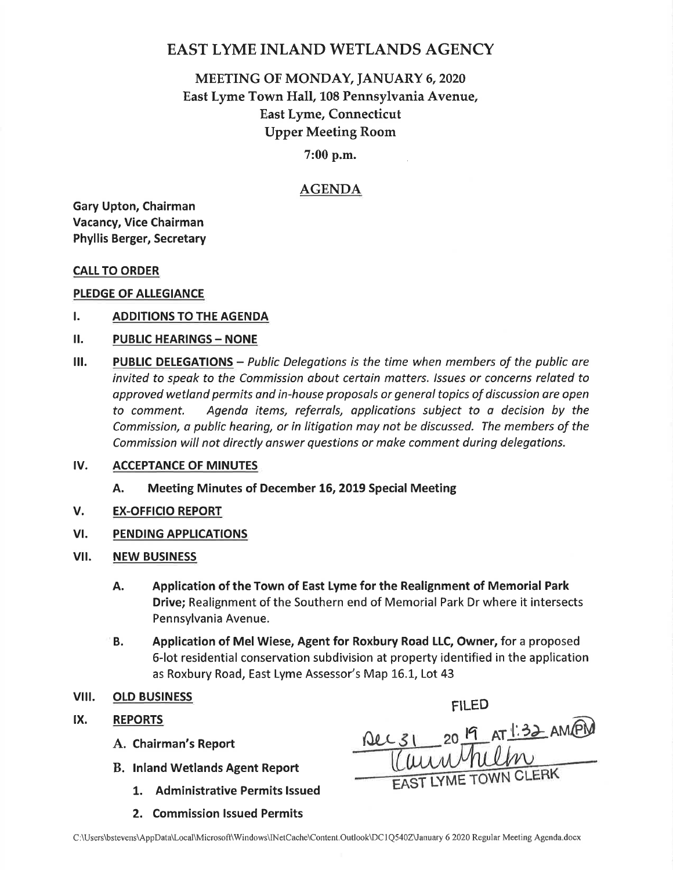# EAST LYME INLAND WETLANDS AGENCY

# MEETING OF MONDAY, JANUARY 6, 2020 East Lyme Town Hall,108 Pennsylvania Avenue, East Lyme, Connecticut Upper Meeting Room

## 7:00 p.m.

# AGENDA

Gary Upton, Chairman Vacancy, Vice Chairman Phyllis Berger, Secretary

#### CALL TO ORDER

#### PLEDGE OF ALLEGIANCE

- I. ADDITIONS TO THE AGENDA
- II. PUBLIC HEARINGS NONE
- $III.$  PUBLIC DELEGATIONS Public Delegations is the time when members of the public are invited to speak to the Commission about certain matters. Issues or concerns related to approved wetland permits and in-house proposals or general topics of discussion are open to comment. Agenda items, referrals, applications subject to o decision by the Commission, o public hearing, or in litigation moy not be discussed. The members of the Commission will not directly answer questions or make comment during delegations.

#### ACCEPTANCE OF MINUTES tv.

- A. Meeting Minutes of December 16, 2019 Special Meeting
- EX.OFFICIO REPORT V.
- PENDING APPLICATIONS vt.
- NEW BUSINESS vil.
	- Application of the Town of East Lyme for the Realignment of Memorial Park Drive; Realignment of the Southern end of Memorial Park Dr where it intersects Pennsylvania Avenue. A.
	- Application of Mel Wiese, Agent for Roxbury Road LLC, Owner, for a proposed 6-lot residential conservation subdivision at property identified in the application as Roxbury Road, East Lyme Assessor's Map 16.1, Lot 43 B.
- olp BUSTNESS viii.
- REPORTS IX.
	-
	- B. lnland Wetlands Agent Report
		- 1. Administrative Permits Issued
		- 2. Commission lssued Permits

 $Qec31 - 20 \frac{19}{11}$ EAST LYME TOWN C A. Chairman's Report  $\text{NLL}31 = 20 \frac{|9|}{|1|}AT \frac{|.32|}{|.}AM/PM$ 

FILED